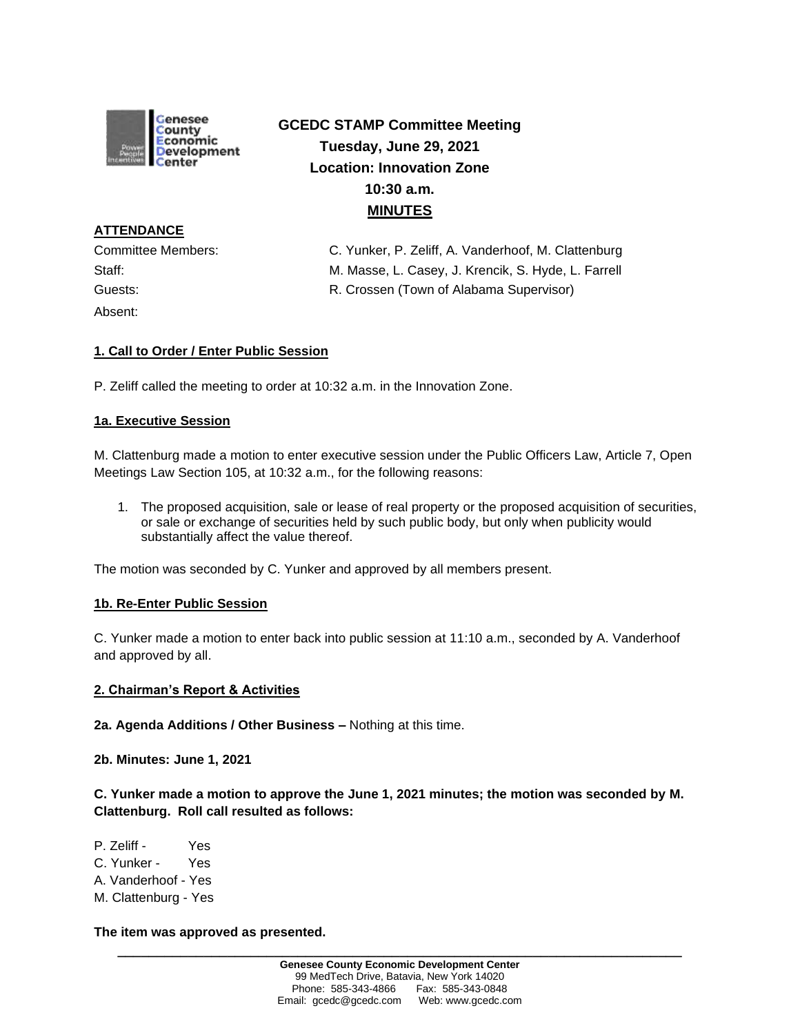

# **GCEDC STAMP Committee Meeting Tuesday, June 29, 2021 Location: Innovation Zone 10:30 a.m. MINUTES**

**ATTENDANCE** Absent:

Committee Members: C. Yunker, P. Zeliff, A. Vanderhoof, M. Clattenburg Staff: M. Masse, L. Casey, J. Krencik, S. Hyde, L. Farrell Guests: R. Crossen (Town of Alabama Supervisor)

# **1. Call to Order / Enter Public Session**

P. Zeliff called the meeting to order at 10:32 a.m. in the Innovation Zone.

## **1a. Executive Session**

M. Clattenburg made a motion to enter executive session under the Public Officers Law, Article 7, Open Meetings Law Section 105, at 10:32 a.m., for the following reasons:

1. The proposed acquisition, sale or lease of real property or the proposed acquisition of securities, or sale or exchange of securities held by such public body, but only when publicity would substantially affect the value thereof.

The motion was seconded by C. Yunker and approved by all members present.

## **1b. Re-Enter Public Session**

C. Yunker made a motion to enter back into public session at 11:10 a.m., seconded by A. Vanderhoof and approved by all.

#### **2. Chairman's Report & Activities**

**2a. Agenda Additions / Other Business –** Nothing at this time.

**2b. Minutes: June 1, 2021**

**C. Yunker made a motion to approve the June 1, 2021 minutes; the motion was seconded by M. Clattenburg. Roll call resulted as follows:**

P. Zeliff - Yes C. Yunker - Yes A. Vanderhoof - Yes M. Clattenburg - Yes

#### **The item was approved as presented.**

**\_\_\_\_\_\_\_\_\_\_\_\_\_\_\_\_\_\_\_\_\_\_\_\_\_\_\_\_\_\_\_\_\_\_\_\_\_\_\_\_\_\_\_\_\_\_\_\_\_\_\_\_\_\_\_\_\_\_\_\_\_\_\_\_\_\_\_\_\_\_\_\_**